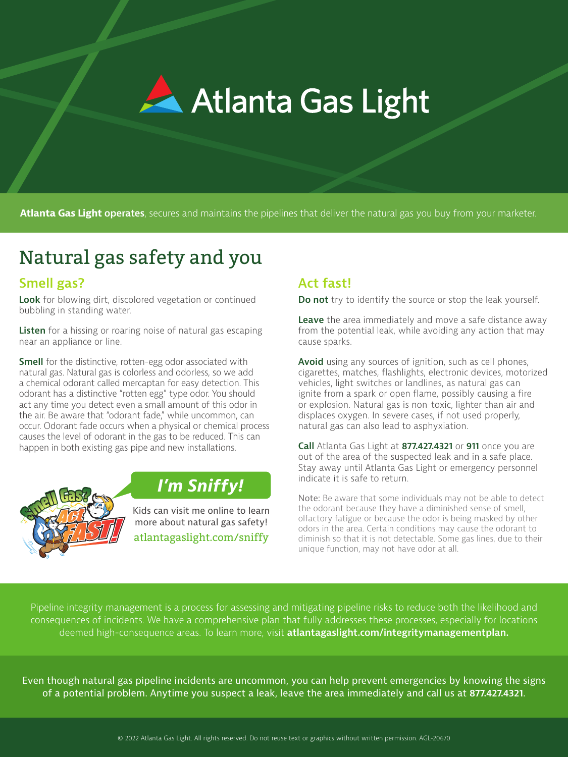

**Atlanta Gas Light operates**, secures and maintains the pipelines that deliver the natural gas you buy from your marketer.

# Natural gas safety and you

### **Smell gas?**

**Look** for blowing dirt, discolored vegetation or continued bubbling in standing water.

**Listen** for a hissing or roaring noise of natural gas escaping near an appliance or line.

**Smell** for the distinctive, rotten-egg odor associated with natural gas. Natural gas is colorless and odorless, so we add a chemical odorant called mercaptan for easy detection. This odorant has a distinctive "rotten egg" type odor. You should act any time you detect even a small amount of this odor in the air. Be aware that "odorant fade," while uncommon, can occur. Odorant fade occurs when a physical or chemical process causes the level of odorant in the gas to be reduced. This can happen in both existing gas pipe and new installations.



## *I'm Sniffy!*

Kids can visit me online to learn more about natural gas safety! atlantagaslight.com/sniffy

### **Act fast!**

**Do not** try to identify the source or stop the leak yourself.

**Leave** the area immediately and move a safe distance away from the potential leak, while avoiding any action that may cause sparks.

**Avoid** using any sources of ignition, such as cell phones, cigarettes, matches, flashlights, electronic devices, motorized vehicles, light switches or landlines, as natural gas can ignite from a spark or open flame, possibly causing a fire or explosion. Natural gas is non-toxic, lighter than air and displaces oxygen. In severe cases, if not used properly, natural gas can also lead to asphyxiation.

**Call** Atlanta Gas Light at **877.427.4321** or **911** once you are out of the area of the suspected leak and in a safe place. Stay away until Atlanta Gas Light or emergency personnel indicate it is safe to return.

Note: Be aware that some individuals may not be able to detect the odorant because they have a diminished sense of smell, olfactory fatigue or because the odor is being masked by other odors in the area. Certain conditions may cause the odorant to diminish so that it is not detectable. Some gas lines, due to their unique function, may not have odor at all.

Pipeline integrity management is a process for assessing and mitigating pipeline risks to reduce both the likelihood and consequences of incidents. We have a comprehensive plan that fully addresses these processes, especially for locations deemed high-consequence areas. To learn more, visit **atlantagaslight.com/integritymanagementplan.**

Even though natural gas pipeline incidents are uncommon, you can help prevent emergencies by knowing the signs of a potential problem. Anytime you suspect a leak, leave the area immediately and call us at **877.427.4321**.